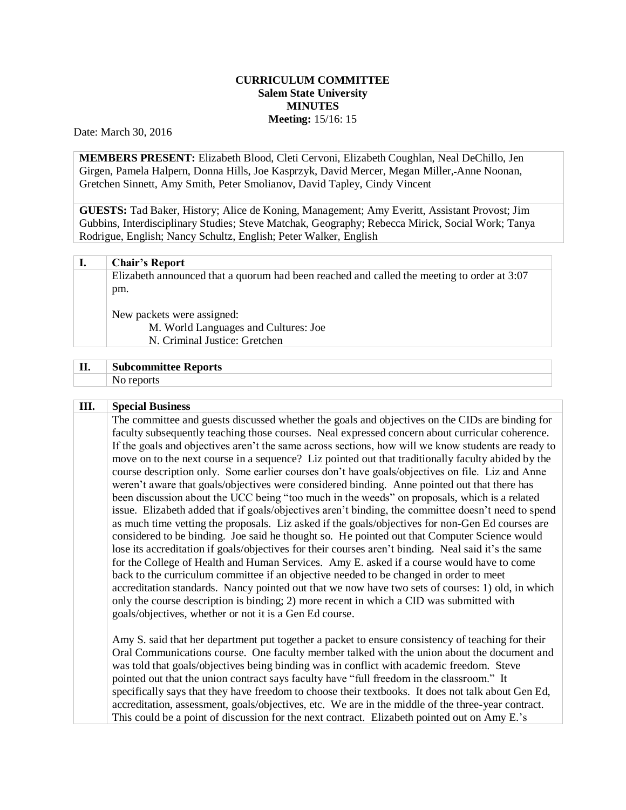## **CURRICULUM COMMITTEE Salem State University MINUTES Meeting:** 15/16: 15

Date: March 30, 2016

**MEMBERS PRESENT:** Elizabeth Blood, Cleti Cervoni, Elizabeth Coughlan, Neal DeChillo, Jen Girgen, Pamela Halpern, Donna Hills, Joe Kasprzyk, David Mercer, Megan Miller, Anne Noonan, Gretchen Sinnett, Amy Smith, Peter Smolianov, David Tapley, Cindy Vincent

**GUESTS:** Tad Baker, History; Alice de Koning, Management; Amy Everitt, Assistant Provost; Jim Gubbins, Interdisciplinary Studies; Steve Matchak, Geography; Rebecca Mirick, Social Work; Tanya Rodrigue, English; Nancy Schultz, English; Peter Walker, English

Elizabeth announced that a quorum had been reached and called the meeting to order at 3:07 pm.

New packets were assigned:

M. World Languages and Cultures: Joe N. Criminal Justice: Gretchen

| $\mathbf{H}$<br>л. | <b>Subcommittee Reports</b> |  |  |
|--------------------|-----------------------------|--|--|
|                    |                             |  |  |

## **III. Special Business**

The committee and guests discussed whether the goals and objectives on the CIDs are binding for faculty subsequently teaching those courses. Neal expressed concern about curricular coherence. If the goals and objectives aren't the same across sections, how will we know students are ready to move on to the next course in a sequence? Liz pointed out that traditionally faculty abided by the course description only. Some earlier courses don't have goals/objectives on file. Liz and Anne weren't aware that goals/objectives were considered binding. Anne pointed out that there has been discussion about the UCC being "too much in the weeds" on proposals, which is a related issue. Elizabeth added that if goals/objectives aren't binding, the committee doesn't need to spend as much time vetting the proposals. Liz asked if the goals/objectives for non-Gen Ed courses are considered to be binding. Joe said he thought so. He pointed out that Computer Science would lose its accreditation if goals/objectives for their courses aren't binding. Neal said it's the same for the College of Health and Human Services. Amy E. asked if a course would have to come back to the curriculum committee if an objective needed to be changed in order to meet accreditation standards. Nancy pointed out that we now have two sets of courses: 1) old, in which only the course description is binding; 2) more recent in which a CID was submitted with goals/objectives, whether or not it is a Gen Ed course.

Amy S. said that her department put together a packet to ensure consistency of teaching for their Oral Communications course. One faculty member talked with the union about the document and was told that goals/objectives being binding was in conflict with academic freedom. Steve pointed out that the union contract says faculty have "full freedom in the classroom." It specifically says that they have freedom to choose their textbooks. It does not talk about Gen Ed, accreditation, assessment, goals/objectives, etc. We are in the middle of the three-year contract. This could be a point of discussion for the next contract. Elizabeth pointed out on Amy E.'s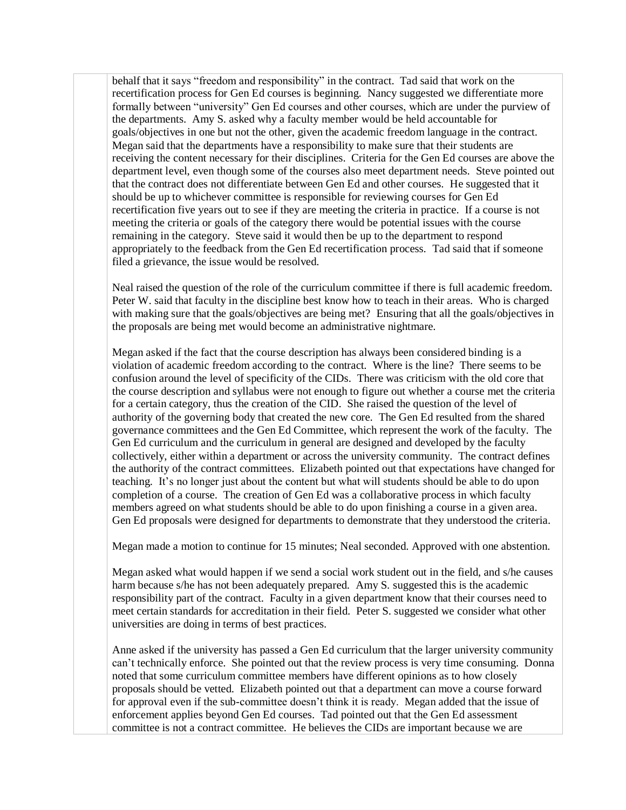behalf that it says "freedom and responsibility" in the contract. Tad said that work on the recertification process for Gen Ed courses is beginning. Nancy suggested we differentiate more formally between "university" Gen Ed courses and other courses, which are under the purview of the departments. Amy S. asked why a faculty member would be held accountable for goals/objectives in one but not the other, given the academic freedom language in the contract. Megan said that the departments have a responsibility to make sure that their students are receiving the content necessary for their disciplines. Criteria for the Gen Ed courses are above the department level, even though some of the courses also meet department needs. Steve pointed out that the contract does not differentiate between Gen Ed and other courses. He suggested that it should be up to whichever committee is responsible for reviewing courses for Gen Ed recertification five years out to see if they are meeting the criteria in practice. If a course is not meeting the criteria or goals of the category there would be potential issues with the course remaining in the category. Steve said it would then be up to the department to respond appropriately to the feedback from the Gen Ed recertification process. Tad said that if someone filed a grievance, the issue would be resolved.

Neal raised the question of the role of the curriculum committee if there is full academic freedom. Peter W. said that faculty in the discipline best know how to teach in their areas. Who is charged with making sure that the goals/objectives are being met? Ensuring that all the goals/objectives in the proposals are being met would become an administrative nightmare.

Megan asked if the fact that the course description has always been considered binding is a violation of academic freedom according to the contract. Where is the line? There seems to be confusion around the level of specificity of the CIDs. There was criticism with the old core that the course description and syllabus were not enough to figure out whether a course met the criteria for a certain category, thus the creation of the CID. She raised the question of the level of authority of the governing body that created the new core. The Gen Ed resulted from the shared governance committees and the Gen Ed Committee, which represent the work of the faculty. The Gen Ed curriculum and the curriculum in general are designed and developed by the faculty collectively, either within a department or across the university community. The contract defines the authority of the contract committees. Elizabeth pointed out that expectations have changed for teaching. It's no longer just about the content but what will students should be able to do upon completion of a course. The creation of Gen Ed was a collaborative process in which faculty members agreed on what students should be able to do upon finishing a course in a given area. Gen Ed proposals were designed for departments to demonstrate that they understood the criteria.

Megan made a motion to continue for 15 minutes; Neal seconded. Approved with one abstention.

Megan asked what would happen if we send a social work student out in the field, and s/he causes harm because s/he has not been adequately prepared. Amy S. suggested this is the academic responsibility part of the contract. Faculty in a given department know that their courses need to meet certain standards for accreditation in their field. Peter S. suggested we consider what other universities are doing in terms of best practices.

Anne asked if the university has passed a Gen Ed curriculum that the larger university community can't technically enforce. She pointed out that the review process is very time consuming. Donna noted that some curriculum committee members have different opinions as to how closely proposals should be vetted. Elizabeth pointed out that a department can move a course forward for approval even if the sub-committee doesn't think it is ready. Megan added that the issue of enforcement applies beyond Gen Ed courses. Tad pointed out that the Gen Ed assessment committee is not a contract committee. He believes the CIDs are important because we are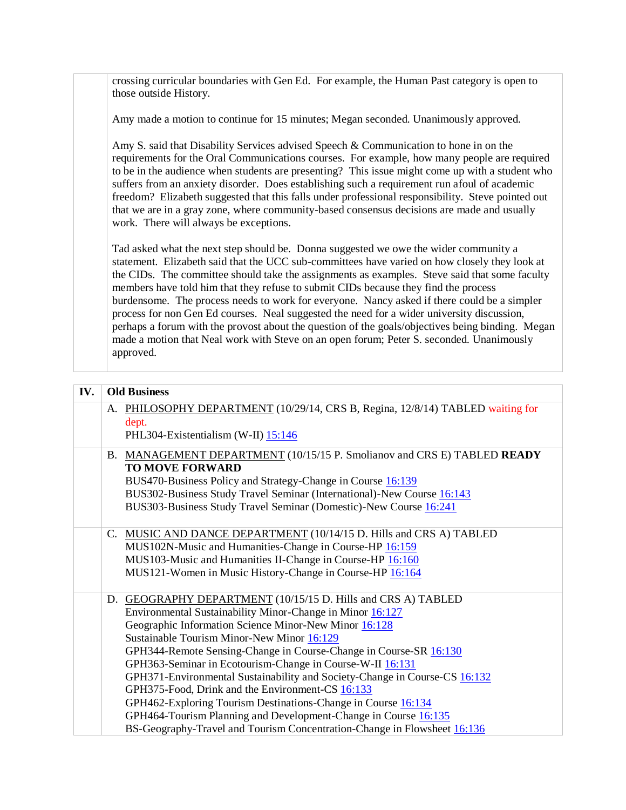crossing curricular boundaries with Gen Ed. For example, the Human Past category is open to those outside History.

Amy made a motion to continue for 15 minutes; Megan seconded. Unanimously approved.

Amy S. said that Disability Services advised Speech & Communication to hone in on the requirements for the Oral Communications courses. For example, how many people are required to be in the audience when students are presenting? This issue might come up with a student who suffers from an anxiety disorder. Does establishing such a requirement run afoul of academic freedom? Elizabeth suggested that this falls under professional responsibility. Steve pointed out that we are in a gray zone, where community-based consensus decisions are made and usually work. There will always be exceptions.

Tad asked what the next step should be. Donna suggested we owe the wider community a statement. Elizabeth said that the UCC sub-committees have varied on how closely they look at the CIDs. The committee should take the assignments as examples. Steve said that some faculty members have told him that they refuse to submit CIDs because they find the process burdensome. The process needs to work for everyone. Nancy asked if there could be a simpler process for non Gen Ed courses. Neal suggested the need for a wider university discussion, perhaps a forum with the provost about the question of the goals/objectives being binding. Megan made a motion that Neal work with Steve on an open forum; Peter S. seconded. Unanimously approved.

| IV. | <b>Old Business</b> |                                                                                                                                                                                                                                                                                                                                                                                                                                                                                                                                                                                                                                                                                                                      |  |
|-----|---------------------|----------------------------------------------------------------------------------------------------------------------------------------------------------------------------------------------------------------------------------------------------------------------------------------------------------------------------------------------------------------------------------------------------------------------------------------------------------------------------------------------------------------------------------------------------------------------------------------------------------------------------------------------------------------------------------------------------------------------|--|
|     | dept.               | A. PHILOSOPHY DEPARTMENT (10/29/14, CRS B, Regina, 12/8/14) TABLED waiting for<br>PHL304-Existentialism (W-II) 15:146                                                                                                                                                                                                                                                                                                                                                                                                                                                                                                                                                                                                |  |
|     |                     | B. MANAGEMENT DEPARTMENT (10/15/15 P. Smolianov and CRS E) TABLED READY<br><b>TO MOVE FORWARD</b><br>BUS470-Business Policy and Strategy-Change in Course 16:139<br>BUS302-Business Study Travel Seminar (International)-New Course 16:143<br>BUS303-Business Study Travel Seminar (Domestic)-New Course 16:241                                                                                                                                                                                                                                                                                                                                                                                                      |  |
|     |                     | C. MUSIC AND DANCE DEPARTMENT (10/14/15 D. Hills and CRS A) TABLED<br>MUS102N-Music and Humanities-Change in Course-HP 16:159<br>MUS103-Music and Humanities II-Change in Course-HP 16:160<br>MUS121-Women in Music History-Change in Course-HP 16:164                                                                                                                                                                                                                                                                                                                                                                                                                                                               |  |
|     |                     | D. GEOGRAPHY DEPARTMENT (10/15/15 D. Hills and CRS A) TABLED<br>Environmental Sustainability Minor-Change in Minor 16:127<br>Geographic Information Science Minor-New Minor 16:128<br>Sustainable Tourism Minor-New Minor 16:129<br>GPH344-Remote Sensing-Change in Course-Change in Course-SR 16:130<br>GPH363-Seminar in Ecotourism-Change in Course-W-II 16:131<br>GPH371-Environmental Sustainability and Society-Change in Course-CS 16:132<br>GPH375-Food, Drink and the Environment-CS 16:133<br>GPH462-Exploring Tourism Destinations-Change in Course 16:134<br>GPH464-Tourism Planning and Development-Change in Course 16:135<br>BS-Geography-Travel and Tourism Concentration-Change in Flowsheet 16:136 |  |